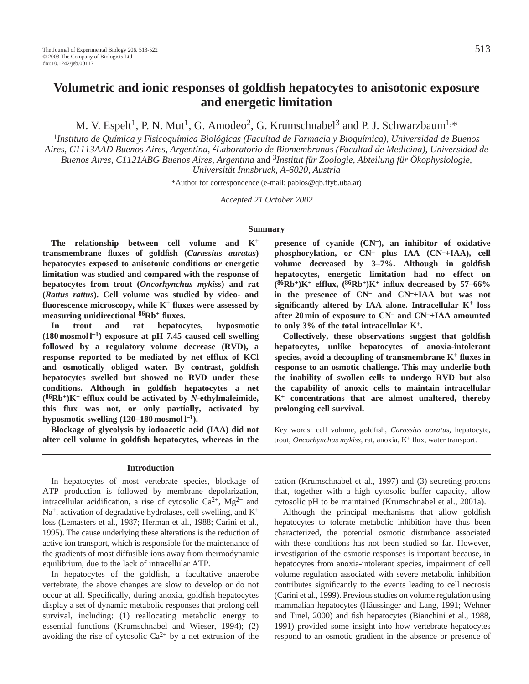# **Volumetric and ionic responses of goldfish hepatocytes to anisotonic exposure and energetic limitation**

M. V. Espelt<sup>1</sup>, P. N. Mut<sup>1</sup>, G. Amodeo<sup>2</sup>, G. Krumschnabel<sup>3</sup> and P. J. Schwarzbaum<sup>1,\*</sup>

<sup>1</sup>*Instituto de Química y Fisicoquímica Biológicas (Facultad de Farmacia y Bioquímica), Universidad de Buenos Aires, C1113AAD Buenos Aires, Argentina,* 2*Laboratorio de Biomembranas (Facultad de Medicina), Universidad de Buenos Aires, C1121ABG Buenos Aires, Argentina* and 3*Institut für Zoologie, Abteilung für Ökophysiologie, Universität Innsbruck, A-6020, Austria*

\*Author for correspondence (e-mail: pablos@qb.ffyb.uba.ar)

*Accepted 21 October 2002*

### **Summary**

**The relationship between cell volume and K+ transmembrane fluxes of goldfish (***Carassius auratus***) hepatocytes exposed to anisotonic conditions or energetic limitation was studied and compared with the response of hepatocytes from trout (***Oncorhynchus mykiss***) and rat (***Rattus rattus***). Cell volume was studied by video- and fluorescence microscopy, while K+ fluxes were assessed by measuring unidirectional 86Rb+ fluxes.** 

**In trout and rat hepatocytes, hyposmotic (180 mosmol l–1) exposure at pH 7.45 caused cell swelling followed by a regulatory volume decrease (RVD), a response reported to be mediated by net efflux of KCl and osmotically obliged water. By contrast, goldfish hepatocytes swelled but showed no RVD under these conditions. Although in goldfish hepatocytes a net (86Rb+)K+ efflux could be activated by** *N***-ethylmaleimide, this flux was not, or only partially, activated by hyposmotic swelling (120–180 mosmol l–1).** 

**Blockage of glycolysis by iodoacetic acid (IAA) did not alter cell volume in goldfish hepatocytes, whereas in the**

### **Introduction**

In hepatocytes of most vertebrate species, blockage of ATP production is followed by membrane depolarization, intracellular acidification, a rise of cytosolic  $Ca^{2+}$ , Mg<sup>2+</sup> and  $Na<sup>+</sup>$ , activation of degradative hydrolases, cell swelling, and  $K<sup>+</sup>$ loss (Lemasters et al., 1987; Herman et al., 1988; Carini et al., 1995). The cause underlying these alterations is the reduction of active ion transport, which is responsible for the maintenance of the gradients of most diffusible ions away from thermodynamic equilibrium, due to the lack of intracellular ATP.

In hepatocytes of the goldfish, a facultative anaerobe vertebrate, the above changes are slow to develop or do not occur at all. Specifically, during anoxia, goldfish hepatocytes display a set of dynamic metabolic responses that prolong cell survival, including: (1) reallocating metabolic energy to essential functions (Krumschnabel and Wieser, 1994); (2) avoiding the rise of cytosolic  $Ca^{2+}$  by a net extrusion of the **presence of cyanide (CN–), an inhibitor of oxidative phosphorylation, or CN– plus IAA (CN–+IAA), cell volume decreased by 3–7%. Although in goldfish hepatocytes, energetic limitation had no effect on (86Rb+)K+ efflux, (86Rb+)K+ influx decreased by 57–66% in the presence of CN– and CN–+IAA but was not significantly altered by IAA alone. Intracellular K+ loss after 20 min of exposure to CN– and CN–+IAA amounted to only 3% of the total intracellular K+.**

**Collectively, these observations suggest that goldfish hepatocytes, unlike hepatocytes of anoxia-intolerant species, avoid a decoupling of transmembrane K+ fluxes in response to an osmotic challenge. This may underlie both the inability of swollen cells to undergo RVD but also the capability of anoxic cells to maintain intracellular K+ concentrations that are almost unaltered, thereby prolonging cell survival.**

Key words: cell volume, goldfish, *Carassius auratus*, hepatocyte, trout, *Oncorhynchus mykiss*, rat, anoxia, K<sup>+</sup> flux, water transport.

cation (Krumschnabel et al., 1997) and (3) secreting protons that, together with a high cytosolic buffer capacity, allow cytosolic pH to be maintained (Krumschnabel et al., 2001a).

Although the principal mechanisms that allow goldfish hepatocytes to tolerate metabolic inhibition have thus been characterized, the potential osmotic disturbance associated with these conditions has not been studied so far. However, investigation of the osmotic responses is important because, in hepatocytes from anoxia-intolerant species, impairment of cell volume regulation associated with severe metabolic inhibition contributes significantly to the events leading to cell necrosis (Carini et al., 1999). Previous studies on volume regulation using mammalian hepatocytes (Häussinger and Lang, 1991; Wehner and Tinel, 2000) and fish hepatocytes (Bianchini et al., 1988, 1991) provided some insight into how vertebrate hepatocytes respond to an osmotic gradient in the absence or presence of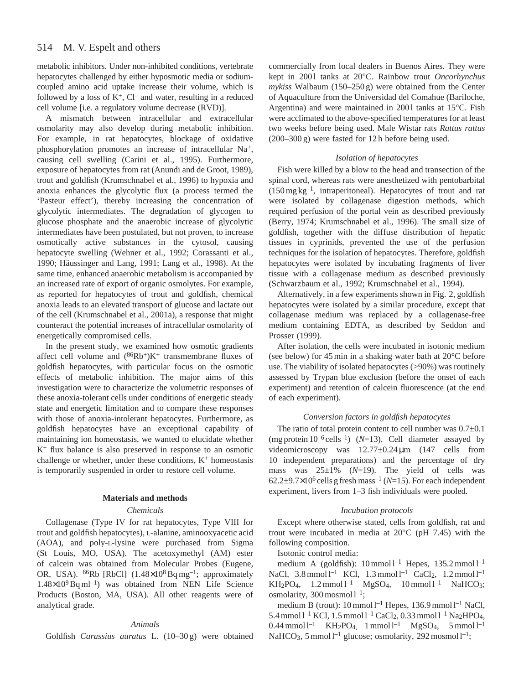metabolic inhibitors. Under non-inhibited conditions, vertebrate hepatocytes challenged by either hyposmotic media or sodiumcoupled amino acid uptake increase their volume, which is followed by a loss of  $K^+$ ,  $Cl^-$  and water, resulting in a reduced cell volume [i.e. a regulatory volume decrease (RVD)].

A mismatch between intracellular and extracellular osmolarity may also develop during metabolic inhibition. For example, in rat hepatocytes, blockage of oxidative phosphorylation promotes an increase of intracellular Na<sup>+</sup>, causing cell swelling (Carini et al., 1995). Furthermore, exposure of hepatocytes from rat (Anundi and de Groot, 1989), trout and goldfish (Krumschnabel et al., 1996) to hypoxia and anoxia enhances the glycolytic flux (a process termed the 'Pasteur effect'), thereby increasing the concentration of glycolytic intermediates. The degradation of glycogen to glucose phosphate and the anaerobic increase of glycolytic intermediates have been postulated, but not proven, to increase osmotically active substances in the cytosol, causing hepatocyte swelling (Wehner et al., 1992; Corassanti et al., 1990; Häussinger and Lang, 1991; Lang et al., 1998). At the same time, enhanced anaerobic metabolism is accompanied by an increased rate of export of organic osmolytes. For example, as reported for hepatocytes of trout and goldfish, chemical anoxia leads to an elevated transport of glucose and lactate out of the cell (Krumschnabel et al., 2001a), a response that might counteract the potential increases of intracellular osmolarity of energetically compromised cells.

In the present study, we examined how osmotic gradients affect cell volume and  $(^{86}Rb^{+})K^{+}$  transmembrane fluxes of goldfish hepatocytes, with particular focus on the osmotic effects of metabolic inhibition. The major aims of this investigation were to characterize the volumetric responses of these anoxia-tolerant cells under conditions of energetic steady state and energetic limitation and to compare these responses with those of anoxia-intolerant hepatocytes. Furthermore, as goldfish hepatocytes have an exceptional capability of maintaining ion homeostasis, we wanted to elucidate whether K+ flux balance is also preserved in response to an osmotic challenge or whether, under these conditions,  $K^+$  homeostasis is temporarily suspended in order to restore cell volume.

# **Materials and methods**

### *Chemicals*

Collagenase (Type IV for rat hepatocytes, Type VIII for trout and goldfish hepatocytes), L-alanine, aminooxyacetic acid (AOA), and poly-L-lysine were purchased from Sigma (St Louis, MO, USA). The acetoxymethyl (AM) ester of calcein was obtained from Molecular Probes (Eugene, OR, USA).  ${}^{86}Rb^+[RbCl]$  (1.48×10<sup>8</sup> Bq mg<sup>-1</sup>; approximately  $1.48\times10^{9}$  Bq ml<sup>-1</sup>) was obtained from NEN Life Science Products (Boston, MA, USA). All other reagents were of analytical grade.

### *Animals*

Goldfish *Carassius auratus* L. (10–30 g) were obtained

commercially from local dealers in Buenos Aires. They were kept in 2001 tanks at 20°C. Rainbow trout *Oncorhynchus mykiss* Walbaum (150–250 g) were obtained from the Center of Aquaculture from the Universidad del Comahue (Bariloche, Argentina) and were maintained in 2001 tanks at  $15^{\circ}$ C. Fish were acclimated to the above-specified temperatures for at least two weeks before being used. Male Wistar rats *Rattus rattus* (200–300 g) were fasted for 12 h before being used.

# *Isolation of hepatocytes*

Fish were killed by a blow to the head and transection of the spinal cord, whereas rats were anesthetized with pentobarbital  $(150 \,\text{mg}\,\text{kg}^{-1})$ , intraperitoneal). Hepatocytes of trout and rat were isolated by collagenase digestion methods, which required perfusion of the portal vein as described previously (Berry, 1974; Krumschnabel et al., 1996). The small size of goldfish, together with the diffuse distribution of hepatic tissues in cyprinids, prevented the use of the perfusion techniques for the isolation of hepatocytes. Therefore, goldfish hepatocytes were isolated by incubating fragments of liver tissue with a collagenase medium as described previously (Schwarzbaum et al., 1992; Krumschnabel et al., 1994).

Alternatively, in a few experiments shown in Fig. 2, goldfish hepatocytes were isolated by a similar procedure, except that collagenase medium was replaced by a collagenase-free medium containing EDTA, as described by Seddon and Prosser (1999).

After isolation, the cells were incubated in isotonic medium (see below) for 45 min in a shaking water bath at 20°C before use. The viability of isolated hepatocytes (>90%) was routinely assessed by Trypan blue exclusion (before the onset of each experiment) and retention of calcein fluorescence (at the end of each experiment).

# *Conversion factors in goldfish hepatocytes*

The ratio of total protein content to cell number was  $0.7\pm0.1$ (mg protein  $10^{-6}$  cells<sup>-1</sup>) (*N*=13). Cell diameter assayed by videomicroscopy was 12.77±0.24µm (147 cells from 10 independent preparations) and the percentage of dry mass was 25±1% (*N*=19). The yield of cells was  $62.2\pm9.7\times10^6$  cells g fresh mass<sup>-1</sup> (*N*=15). For each independent experiment, livers from 1–3 fish individuals were pooled.

### *Incubation protocols*

Except where otherwise stated, cells from goldfish, rat and trout were incubated in media at 20°C (pH 7.45) with the following composition.

Isotonic control media:

medium A (goldfish):  $10$  mmol  $l^{-1}$  Hepes,  $135.2$  mmol  $l^{-1}$ NaCl,  $3.8 \text{ mmol } l^{-1}$  KCl,  $1.3 \text{ mmol } l^{-1}$  CaCl<sub>2</sub>,  $1.2 \text{ mmol } l^{-1}$  $KH_2PO_4$ ,  $1.2$  mmol  $l^{-1}$  MgSO<sub>4</sub>,  $10$  mmol  $l^{-1}$  NaHCO<sub>3</sub>; osmolarity,  $300$  mosmol  $l^{-1}$ ;

medium B (trout):  $10 \text{ mmol } l^{-1}$  Hepes,  $136.9 \text{ mmol } l^{-1}$  NaCl, 5.4 mmol l–1 KCl, 1.5 mmol l–1 CaCl2, 0.33 mmol l–1 Na2HPO4,  $0.44$  mmol  $l^{-1}$  KH<sub>2</sub>PO<sub>4,</sub> 1 mmol  $l^{-1}$  MgSO<sub>4</sub>, 5 mmol  $l^{-1}$ NaHCO<sub>3</sub>, 5 mmol  $l^{-1}$  glucose; osmolarity, 292 mosmol  $l^{-1}$ ;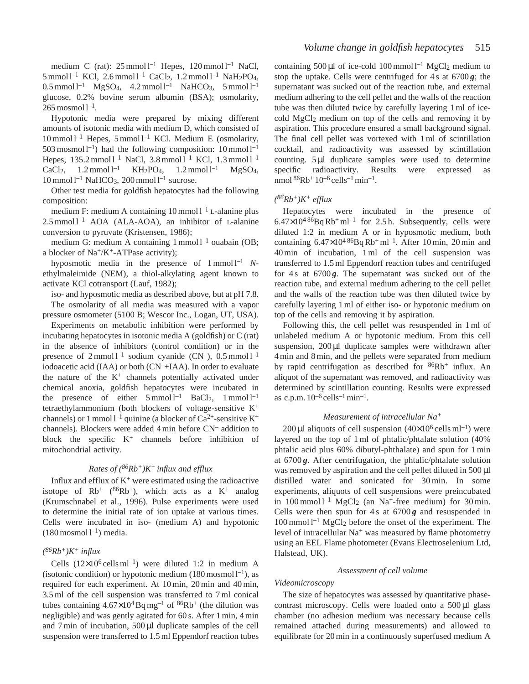medium C (rat):  $25$  mmol  $l^{-1}$  Hepes,  $120$  mmol  $l^{-1}$  NaCl,  $5 \text{ mmol } l^{-1}$  KCl,  $2.6 \text{ mmol } l^{-1}$  CaCl<sub>2</sub>,  $1.2 \text{ mmol } l^{-1}$  NaH<sub>2</sub>PO<sub>4</sub>,  $0.5$  mmol  $l^{-1}$  MgSO<sub>4</sub>, 4.2 mmol  $l^{-1}$  NaHCO<sub>3</sub>, 5 mmol  $l^{-1}$ glucose, 0.2% bovine serum albumin (BSA); osmolarity,  $265$  mosmol  $l^{-1}$ .

Hypotonic media were prepared by mixing different amounts of isotonic media with medium D, which consisted of  $10 \text{ mmol } 1^{-1}$  Hepes,  $5 \text{ mmol } 1^{-1}$  KCl. Medium E (osmolarity, 503 mosmol  $l^{-1}$ ) had the following composition: 10 mmol  $l^{-1}$ Hepes,  $135.2$  mmol  $l^{-1}$  NaCl,  $3.8$  mmol  $l^{-1}$  KCl,  $1.3$  mmol  $l^{-1}$  $CaCl<sub>2</sub>, 1.2 mmol l<sup>-1</sup> KH<sub>2</sub>PO<sub>4</sub>, 1.2 mmol l<sup>-1</sup> MgSO<sub>4</sub>,$  $10$  mmol  $l^{-1}$  NaHCO<sub>3</sub>,  $200$  mmol  $l^{-1}$  sucrose.

Other test media for goldfish hepatocytes had the following composition:

medium F: medium A containing  $10$  mmol  $l^{-1}$  L-alanine plus  $2.5$  mmol  $l^{-1}$  AOA (ALA-AOA), an inhibitor of L-alanine conversion to pyruvate (Kristensen, 1986);

medium G: medium A containing  $1$  mmol  $l^{-1}$  ouabain (OB; a blocker of  $Na^{+/}K^{+}$ -ATPase activity);

hyposmotic media in the presence of  $1 \text{ mmol } 1^{-1}$  Nethylmaleimide (NEM), a thiol-alkylating agent known to activate KCl cotransport (Lauf, 1982);

iso- and hyposmotic media as described above, but at pH 7.8. The osmolarity of all media was measured with a vapor pressure osmometer (5100 B; Wescor Inc., Logan, UT, USA).

Experiments on metabolic inhibition were performed by incubating hepatocytes in isotonic media A (goldfish) or C (rat) in the absence of inhibitors (control condition) or in the presence of  $2 \text{mmol } l^{-1}$  sodium cyanide (CN<sup>-</sup>), 0.5 mmol  $l^{-1}$ iodoacetic acid (IAA) or both (CN–+IAA). In order to evaluate the nature of the  $K^+$  channels potentially activated under chemical anoxia, goldfish hepatocytes were incubated in the presence of either  $5 \text{ mmol } l^{-1}$  BaCl<sub>2</sub>, 1 mmol l<sup>-1</sup> tetraethylammonium (both blockers of voltage-sensitive K<sup>+</sup> channels) or 1 mmol  $l^{-1}$  quinine (a blocker of  $Ca^{2+}$ -sensitive K<sup>+</sup> channels). Blockers were added 4 min before CN– addition to block the specific  $K^+$  channels before inhibition of mitochondrial activity.

# *Rates of (86Rb+)K+ influx and efflux*

Influx and efflux of  $K^+$  were estimated using the radioactive isotope of  $Rb^+$  ( $86Rb^+$ ), which acts as a  $K^+$  analog (Krumschnabel et al., 1996). Pulse experiments were used to determine the initial rate of ion uptake at various times. Cells were incubated in iso- (medium A) and hypotonic  $(180 \text{ moshol }1^{-1})$  media.

# *(86Rb+)K+ influx*

Cells  $(12\times10^6 \text{ cells m}^{-1})$  were diluted 1:2 in medium A (isotonic condition) or hypotonic medium  $(180 \text{ moshol }1^{-1})$ , as required for each experiment. At 10 min, 20 min and 40 min, 3.5 ml of the cell suspension was transferred to 7 ml conical tubes containing  $4.67\times10^{4}$  Bq mg<sup>-1</sup> of <sup>86</sup>Rb<sup>+</sup> (the dilution was negligible) and was gently agitated for 60 s. After 1 min, 4 min and 7 min of incubation, 500 µl duplicate samples of the cell suspension were transferred to 1.5 ml Eppendorf reaction tubes

containing 500 µl of ice-cold 100 mmol  $l^{-1}$  MgCl<sub>2</sub> medium to stop the uptake. Cells were centrifuged for  $4s$  at  $6700g$ ; the supernatant was sucked out of the reaction tube, and external medium adhering to the cell pellet and the walls of the reaction tube was then diluted twice by carefully layering 1 ml of icecold MgCl2 medium on top of the cells and removing it by aspiration. This procedure ensured a small background signal. The final cell pellet was vortexed with 1 ml of scintillation cocktail, and radioactivity was assessed by scintillation counting. 5 µl duplicate samples were used to determine specific radioactivity. Results were expressed as nmol  ${}^{86}Rb$ <sup>+</sup> 10<sup>-6</sup> cells<sup>-1</sup> min<sup>-1</sup>.

# *(86Rb+)K+ efflux*

Hepatocytes were incubated in the presence of  $6.47 \times 10^{486}$ Bq Rb<sup>+</sup> ml<sup>-1</sup> for 2.5 h. Subsequently, cells were diluted 1:2 in medium A or in hyposmotic medium, both containing  $6.47\times10^{486}$ Bq Rb<sup>+</sup> ml<sup>-1</sup>. After 10 min, 20 min and 40 min of incubation, 1 ml of the cell suspension was transferred to 1.5 ml Eppendorf reaction tubes and centrifuged for 4s at 6700g. The supernatant was sucked out of the reaction tube, and external medium adhering to the cell pellet and the walls of the reaction tube was then diluted twice by carefully layering 1 ml of either iso- or hypotonic medium on top of the cells and removing it by aspiration.

Following this, the cell pellet was resuspended in 1 ml of unlabeled medium A or hypotonic medium. From this cell suspension, 200 µl duplicate samples were withdrawn after 4 min and 8 min, and the pellets were separated from medium by rapid centrifugation as described for  $86Rb$ <sup>+</sup> influx. An aliquot of the supernatant was removed, and radioactivity was determined by scintillation counting. Results were expressed as c.p.m.  $10^{-6}$  cells<sup>-1</sup> min<sup>-1</sup>.

## *Measurement of intracellular Na<sup>+</sup>*

200 µl aliquots of cell suspension  $(40\times10^6 \text{ cells m}^{-1})$  were layered on the top of 1 ml of phtalic/phtalate solution (40% phtalic acid plus 60% dibutyl-phthalate) and spun for 1 min at 6700 *g*. After centrifugation, the phtalic/phtalate solution was removed by aspiration and the cell pellet diluted in 500 µl distilled water and sonicated for 30 min. In some experiments, aliquots of cell suspensions were preincubated in 100 mmol  $l^{-1}$  MgCl<sub>2</sub> (an Na<sup>+</sup>-free medium) for 30 min. Cells were then spun for  $4s$  at  $6700g$  and resuspended in  $100$  mmol  $l^{-1}$  MgCl<sub>2</sub> before the onset of the experiment. The level of intracellular  $Na<sup>+</sup>$  was measured by flame photometry using an EEL Flame photometer (Evans Electroselenium Ltd, Halstead, UK).

### *Assessment of cell volume*

# *Videomicroscopy*

The size of hepatocytes was assessed by quantitative phasecontrast microscopy. Cells were loaded onto a  $500 \mu l$  glass chamber (no adhesion medium was necessary because cells remained attached during measurements) and allowed to equilibrate for 20 min in a continuously superfused medium A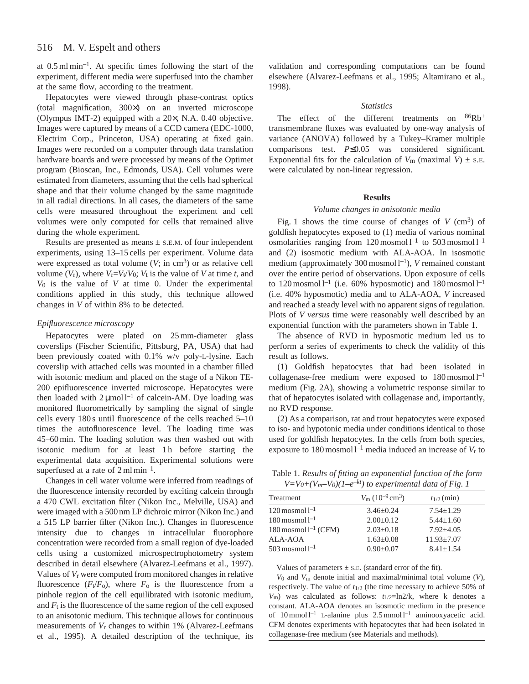#### 516 M. V. Espelt and others

at 0.5 ml min–1. At specific times following the start of the experiment, different media were superfused into the chamber at the same flow, according to the treatment.

Hepatocytes were viewed through phase-contrast optics (total magnification, 300×) on an inverted microscope (Olympus IMT-2) equipped with a 20×, N.A. 0.40 objective. Images were captured by means of a CCD camera (EDC-1000, Electrim Corp., Princeton, USA) operating at fixed gain. Images were recorded on a computer through data translation hardware boards and were processed by means of the Optimet program (Bioscan, Inc., Edmonds, USA). Cell volumes were estimated from diameters, assuming that the cells had spherical shape and that their volume changed by the same magnitude in all radial directions. In all cases, the diameters of the same cells were measured throughout the experiment and cell volumes were only computed for cells that remained alive during the whole experiment.

Results are presented as means  $\pm$  s.E.M. of four independent experiments, using 13–15 cells per experiment. Volume data were expressed as total volume  $(V; \text{ in cm}^3)$  or as relative cell volume  $(V_r)$ , where  $V_r = V_t/V_0$ ;  $V_t$  is the value of *V* at time *t*, and *V*0 is the value of *V* at time 0. Under the experimental conditions applied in this study, this technique allowed changes in *V* of within 8% to be detected.

# *Epifluorescence microscopy*

Hepatocytes were plated on 25 mm-diameter glass coverslips (Fischer Scientific, Pittsburg, PA, USA) that had been previously coated with 0.1% w/v poly-L-lysine. Each coverslip with attached cells was mounted in a chamber filled with isotonic medium and placed on the stage of a Nikon TE-200 epifluorescence inverted microscope. Hepatocytes were then loaded with  $2 \mu$ mol l<sup>-1</sup> of calcein-AM. Dye loading was monitored fluorometrically by sampling the signal of single cells every 180 s until fluorescence of the cells reached 5–10 times the autofluorescence level. The loading time was 45–60 min. The loading solution was then washed out with isotonic medium for at least 1h before starting the experimental data acquisition. Experimental solutions were superfused at a rate of  $2 \text{ ml min}^{-1}$ .

Changes in cell water volume were inferred from readings of the fluorescence intensity recorded by exciting calcein through a 470 CWL excitation filter (Nikon Inc., Melville, USA) and were imaged with a 500 nm LP dichroic mirror (Nikon Inc.) and a 515 LP barrier filter (Nikon Inc.). Changes in fluorescence intensity due to changes in intracellular fluorophore concentration were recorded from a small region of dye-loaded cells using a customized microspectrophotometry system described in detail elsewhere (Alvarez-Leefmans et al., 1997). Values of *V*r were computed from monitored changes in relative fluorescence  $(F_t/F_0)$ , where  $F_0$  is the fluorescence from a pinhole region of the cell equilibrated with isotonic medium, and  $F_t$  is the fluorescence of the same region of the cell exposed to an anisotonic medium. This technique allows for continuous measurements of *V*r changes to within 1% (Alvarez-Leefmans et al., 1995). A detailed description of the technique, its validation and corresponding computations can be found elsewhere (Alvarez-Leefmans et al., 1995; Altamirano et al., 1998).

### *Statistics*

The effect of the different treatments on  $86Rb^+$ transmembrane fluxes was evaluated by one-way analysis of variance (ANOVA) followed by a Tukey–Kramer multiple comparisons test. *P*≤0.05 was considered significant. Exponential fits for the calculation of  $V_m$  (maximal  $V$ )  $\pm$  s.e. were calculated by non-linear regression.

### **Results**

### *Volume changes in anisotonic media*

Fig. 1 shows the time course of changes of  $V$  (cm<sup>3</sup>) of goldfish hepatocytes exposed to (1) media of various nominal osmolarities ranging from  $120$  mosmol  $l^{-1}$  to  $503$  mosmol  $l^{-1}$ and (2) isosmotic medium with ALA-AOA. In isosmotic medium (approximately 300 mosmol l<sup>-1</sup>), *V* remained constant over the entire period of observations. Upon exposure of cells to 120 mosmol  $l^{-1}$  (i.e. 60% hyposmotic) and 180 mosmol  $l^{-1}$ (i.e. 40% hyposmotic) media and to ALA-AOA, *V* increased and reached a steady level with no apparent signs of regulation. Plots of *V versus* time were reasonably well described by an exponential function with the parameters shown in Table 1.

The absence of RVD in hyposmotic medium led us to perform a series of experiments to check the validity of this result as follows.

(1) Goldfish hepatocytes that had been isolated in collagenase-free medium were exposed to  $180$  mosmol  $l^{-1}$ medium (Fig. 2A), showing a volumetric response similar to that of hepatocytes isolated with collagenase and, importantly, no RVD response.

(2) As a comparison, rat and trout hepatocytes were exposed to iso- and hypotonic media under conditions identical to those used for goldfish hepatocytes. In the cells from both species, exposure to  $180$  mosmol  $l^{-1}$  media induced an increase of  $V_r$  to

Table 1. *Results of fitting an exponential function of the form*  $V=V_0+(V_m-V_0)(1-e^{-kt})$  to experimental data of Fig. 1

| Treatment                       | $V_{\rm m}$ (10 <sup>-9</sup> cm <sup>3</sup> ) | $t_{1/2}$ (min) |
|---------------------------------|-------------------------------------------------|-----------------|
| $120$ mosmol $l^{-1}$           | $3.46 \pm 0.24$                                 | $7.54 + 1.29$   |
| $180 \,\mathrm{moshol}\,l^{-1}$ | $2.00+0.12$                                     | $5.44 + 1.60$   |
| $180$ mosmol $l^{-1}$ (CFM)     | $2.03+0.18$                                     | $7.92 + 4.05$   |
| ALA-AOA                         | $1.63 + 0.08$                                   | $11.93 + 7.07$  |
| $503$ mosmol $1^{-1}$           | $0.90 + 0.07$                                   | $8.41 + 1.54$   |

### Values of parameters  $\pm$  s.E. (standard error of the fit).

*V*0 and *V*m denote initial and maximal/minimal total volume (*V*), respectively. The value of *t*1/2 (the time necessary to achieve 50% of *V*m) was calculated as follows: *t*1/2=ln2/k, where k denotes a constant. ALA-AOA denotes an isosmotic medium in the presence of  $10 \text{ mmol } l^{-1}$  L-alanine plus  $2.5 \text{ mmol } l^{-1}$  aminooxyacetic acid. CFM denotes experiments with hepatocytes that had been isolated in collagenase-free medium (see Materials and methods).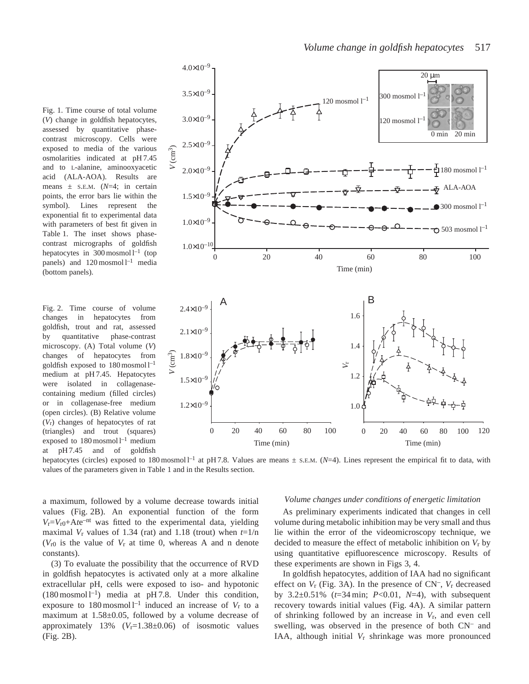Fig. 1. Time course of total volume (*V*) change in goldfish hepatocytes, assessed by quantitative phasecontrast microscopy. Cells were exposed to media of the various osmolarities indicated at pH 7.45 and to L-alanine, aminooxyacetic acid (ALA-AOA). Results are means  $\pm$  s.E.M. ( $N=4$ ; in certain points, the error bars lie within the symbol). Lines represent the exponential fit to experimental data with parameters of best fit given in Table 1. The inset shows phasecontrast micrographs of goldfish hepatocytes in  $300$  mosmol  $l^{-1}$  (top panels) and  $120$  mosmol  $l^{-1}$  media (bottom panels).

Fig. 2. Time course of volume changes in hepatocytes from goldfish, trout and rat, assessed by quantitative phase-contrast microscopy. (A) Total volume (*V*) changes of hepatocytes from goldfish exposed to  $180$  mosmol  $l^{-1}$ medium at pH 7.45. Hepatocytes were isolated in collagenasecontaining medium (filled circles) or in collagenase-free medium (open circles). (B) Relative volume (*V*r) changes of hepatocytes of rat (triangles) and trout (squares) exposed to  $180$  mosmol  $l^{-1}$  medium at pH 7.45 and of goldfish



hepatocytes (circles) exposed to 180 mosmol  $l<sup>-1</sup>$  at pH 7.8. Values are means  $\pm$  s.E.M. ( $N=4$ ). Lines represent the empirical fit to data, with values of the parameters given in Table 1 and in the Results section.

a maximum, followed by a volume decrease towards initial values (Fig. 2B). An exponential function of the form  $V_r = V_{r0} + A t e^{-nt}$  was fitted to the experimental data, yielding maximal  $V_r$  values of 1.34 (rat) and 1.18 (trout) when  $t=1/n$  $(V_{r0}$  is the value of  $V_r$  at time 0, whereas A and n denote constants).

(3) To evaluate the possibility that the occurrence of RVD in goldfish hepatocytes is activated only at a more alkaline extracellular pH, cells were exposed to iso- and hypotonic  $(180 \text{ mosmol} \, \text{l}^{-1})$  media at pH 7.8. Under this condition, exposure to 180 mosmol<sup> $l$ –1</sup> induced an increase of  $V_r$  to a maximum at 1.58±0.05, followed by a volume decrease of approximately  $13\%$  ( $V_r$ =1.38 $\pm$ 0.06) of isosmotic values (Fig. 2B).

### *Volume changes under conditions of energetic limitation*

As preliminary experiments indicated that changes in cell volume during metabolic inhibition may be very small and thus lie within the error of the videomicroscopy technique, we decided to measure the effect of metabolic inhibition on *V*r by using quantitative epifluorescence microscopy. Results of these experiments are shown in Figs 3, 4.

In goldfish hepatocytes, addition of IAA had no significant effect on *V*<sup>r</sup> (Fig. 3A). In the presence of CN–, *V*<sup>r</sup> decreased by 3.2±0.51% (*t*=34 min; *P*<0.01, *N*=4), with subsequent recovery towards initial values (Fig. 4A). A similar pattern of shrinking followed by an increase in *V*r, and even cell swelling, was observed in the presence of both CN– and IAA, although initial *V*r shrinkage was more pronounced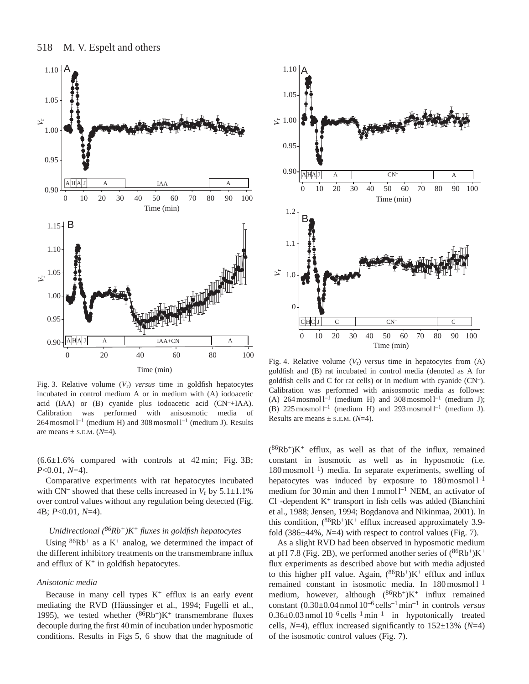



Fig. 3. Relative volume  $(V_r)$  *versus* time in goldfish hepatocytes incubated in control medium A or in medium with (A) iodoacetic acid (IAA) or (B) cyanide plus iodoacetic acid (CN–+IAA). Calibration was performed with anisosmotic media of  $264$  mosmol l<sup>-1</sup> (medium H) and 308 mosmol l<sup>-1</sup> (medium J). Results are means  $\pm$  s.E.M. ( $N=4$ ).

 $(6.6\pm1.6\%$  compared with controls at 42 min; Fig. 3B; *P*<0.01, *N*=4).

Comparative experiments with rat hepatocytes incubated with  $CN^-$  showed that these cells increased in  $V_r$  by  $5.1 \pm 1.1\%$ over control values without any regulation being detected (Fig. 4B; *P*<0.01, *N*=4).

# *Unidirectional (86Rb+)K+ fluxes in goldfish hepatocytes*

Using  $86Rb$ <sup>+</sup> as a K<sup>+</sup> analog, we determined the impact of the different inhibitory treatments on the transmembrane influx and efflux of  $K^+$  in goldfish hepatocytes.

# *Anisotonic media*

Because in many cell types  $K^+$  efflux is an early event mediating the RVD (Häussinger et al., 1994; Fugelli et al., 1995), we tested whether  $(^{86}Rb^+)K^+$  transmembrane fluxes decouple during the first 40 min of incubation under hyposmotic conditions. Results in Figs 5, 6 show that the magnitude of



Fig. 4. Relative volume (*V*r) *versus* time in hepatocytes from (A) goldfish and (B) rat incubated in control media (denoted as A for goldfish cells and C for rat cells) or in medium with cyanide (CN–). Calibration was performed with anisosmotic media as follows: (A)  $264$  mosmol l<sup>-1</sup> (medium H) and  $308$  mosmol l<sup>-1</sup> (medium J); (B)  $225$  mosmol l<sup>-1</sup> (medium H) and  $293$  mosmol l<sup>-1</sup> (medium J). Results are means  $\pm$  s.E.M. ( $N=4$ ).

 $({}^{86}Rb^{+})K^{+}$  efflux, as well as that of the influx, remained constant in isosmotic as well as in hyposmotic (i.e.  $180$  mosmol  $l^{-1}$ ) media. In separate experiments, swelling of hepatocytes was induced by exposure to  $180 \text{ mosh} \, \text{m}^{-1}$ medium for 30 min and then  $1 \text{ mmol } 1^{-1}$  NEM, an activator of  $Cl^-$ -dependent  $K^+$  transport in fish cells was added (Bianchini et al., 1988; Jensen, 1994; Bogdanova and Nikinmaa, 2001). In this condition,  $(^{86}Rb^{+})K^{+}$  efflux increased approximately 3.9fold (386±44%, *N*=4) with respect to control values (Fig. 7).

As a slight RVD had been observed in hyposmotic medium at pH 7.8 (Fig. 2B), we performed another series of  $(^{86}Rb^{+})K^{+}$ flux experiments as described above but with media adjusted to this higher pH value. Again,  $(^{86}\text{Rb}^+)K^+$  efflux and influx remained constant in isosmotic media. In 180 mosmol l–1 medium, however, although  $(^{86}Rb^{+})K^{+}$  influx remained constant (0.30±0.04 nmol 10–6 cells–1min–1 in controls *versus*  $0.36\pm0.03$  nmol  $10^{-6}$  cells<sup>-1</sup> min<sup>-1</sup> in hypotonically treated cells, *N*=4), efflux increased significantly to 152±13% (*N*=4) of the isosmotic control values (Fig. 7).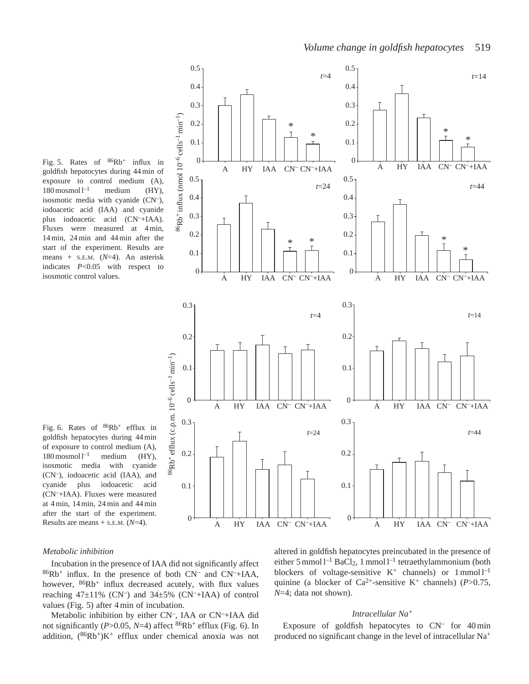Fig. 5. Rates of  $86Rb$ <sup>+</sup> influx in goldfish hepatocytes during 44 min of exposure to control medium (A),  $180 \text{ moshol } l^{-1}$  medium (HY), isosmotic media with cyanide (CN–), iodoacetic acid (IAA) and cyanide plus iodoacetic acid (CN–+IAA). Fluxes were measured at 4 min, 14 min, 24 min and 44 min after the start of the experiment. Results are means + S.E.M. (*N*=4). An asterisk indicates *P*<0.05 with respect to isosmotic control values.





### *Metabolic inhibition*

Incubation in the presence of IAA did not significantly affect 86Rb+ influx. In the presence of both CN– and CN–+IAA, however,  $86Rb$ <sup>+</sup> influx decreased acutely, with flux values reaching  $47\pm11\%$  (CN<sup>-</sup>) and  $34\pm5\%$  (CN<sup>-</sup>+IAA) of control values (Fig. 5) after 4 min of incubation.

Metabolic inhibition by either CN–, IAA or CN–+IAA did not significantly (*P*>0.05, *N*=4) affect 86Rb+ efflux (Fig. 6). In addition,  $(^{86}Rb^{+})K^{+}$  efflux under chemical anoxia was not altered in goldfish hepatocytes preincubated in the presence of either 5 mmol  $l^{-1}$  BaCl<sub>2</sub>, 1 mmol  $l^{-1}$  tetraethylammonium (both blockers of voltage-sensitive  $K^+$  channels) or  $1$  mmol  $l^{-1}$ quinine (a blocker of  $Ca^{2+}$ -sensitive K<sup>+</sup> channels) (*P*>0.75, *N*=4; data not shown).

# *Intracellular Na<sup>+</sup>*

Exposure of goldfish hepatocytes to  $CN^-$  for 40 min produced no significant change in the level of intracellular Na<sup>+</sup>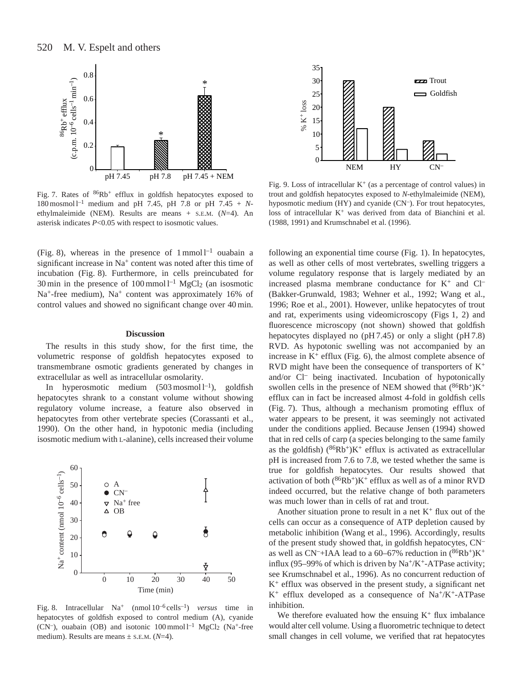

Fig. 7. Rates of  $86Rb$ <sup>+</sup> efflux in goldfish hepatocytes exposed to 180 mosmol  $l^{-1}$  medium and pH 7.45, pH 7.8 or pH 7.45 + *N*ethylmaleimide (NEM). Results are means + S.E.M. (*N*=4). An asterisk indicates *P*<0.05 with respect to isosmotic values.

(Fig. 8), whereas in the presence of  $1$  mmol  $1^{-1}$  ouabain a significant increase in Na<sup>+</sup> content was noted after this time of incubation (Fig. 8). Furthermore, in cells preincubated for 30 min in the presence of  $100 \text{ mmol } l^{-1}$  MgCl<sub>2</sub> (an isosmotic Na<sup>+</sup>-free medium), Na<sup>+</sup> content was approximately 16% of control values and showed no significant change over 40 min.

### **Discussion**

The results in this study show, for the first time, the volumetric response of goldfish hepatocytes exposed to transmembrane osmotic gradients generated by changes in extracellular as well as intracellular osmolarity.

In hyperosmotic medium  $(503 \text{ moshol}^{-1})$ , goldfish hepatocytes shrank to a constant volume without showing regulatory volume increase, a feature also observed in hepatocytes from other vertebrate species (Corassanti et al., 1990). On the other hand, in hypotonic media (including isosmotic medium with L-alanine), cells increased their volume



Fig. 8. Intracellular Na+ (nmol 10–6 cells–1) *versus* time in hepatocytes of goldfish exposed to control medium (A), cyanide (CN–), ouabain (OB) and isotonic  $100 \text{ mmol } l^{-1}$  MgCl<sub>2</sub> (Na<sup>+</sup>-free medium). Results are means ± S.E.M. (*N*=4).



Fig. 9. Loss of intracellular  $K^+$  (as a percentage of control values) in trout and goldfish hepatocytes exposed to *N*-ethylmaleimide (NEM), hyposmotic medium (HY) and cyanide (CN–). For trout hepatocytes, loss of intracellular  $K^+$  was derived from data of Bianchini et al. (1988, 1991) and Krumschnabel et al. (1996).

following an exponential time course (Fig. 1). In hepatocytes, as well as other cells of most vertebrates, swelling triggers a volume regulatory response that is largely mediated by an increased plasma membrane conductance for  $K^+$  and  $Cl^-$ (Bakker-Grunwald, 1983; Wehner et al., 1992; Wang et al., 1996; Roe et al., 2001). However, unlike hepatocytes of trout and rat, experiments using videomicroscopy (Figs 1, 2) and fluorescence microscopy (not shown) showed that goldfish hepatocytes displayed no (pH 7.45) or only a slight (pH 7.8) RVD. As hypotonic swelling was not accompanied by an increase in  $K^+$  efflux (Fig. 6), the almost complete absence of RVD might have been the consequence of transporters of  $K^+$ and/or Cl– being inactivated. Incubation of hypotonically swollen cells in the presence of NEM showed that  $(^{86}Rb^{+})K^{+}$ efflux can in fact be increased almost 4-fold in goldfish cells (Fig. 7). Thus, although a mechanism promoting efflux of water appears to be present, it was seemingly not activated under the conditions applied. Because Jensen (1994) showed that in red cells of carp (a species belonging to the same family as the goldfish)  $(^{86}Rb^+)K^+$  efflux is activated as extracellular pH is increased from 7.6 to 7.8, we tested whether the same is true for goldfish hepatocytes. Our results showed that activation of both  $(^{86}Rb^+)K^+$  efflux as well as of a minor RVD indeed occurred, but the relative change of both parameters was much lower than in cells of rat and trout.

Another situation prone to result in a net  $K^+$  flux out of the cells can occur as a consequence of ATP depletion caused by metabolic inhibition (Wang et al., 1996). Accordingly, results of the present study showed that, in goldfish hepatocytes, CN– as well as  $CN<sup>-</sup>+IAA$  lead to a 60–67% reduction in  $(^{86}Rb<sup>+</sup>)K<sup>+</sup>$ influx (95–99% of which is driven by  $\text{Na}^+\text{/K}^+$ -ATPase activity; see Krumschnabel et al., 1996). As no concurrent reduction of K+ efflux was observed in the present study, a significant net  $K^+$  efflux developed as a consequence of Na<sup>+</sup>/K<sup>+</sup>-ATPase inhibition.

We therefore evaluated how the ensuing  $K^+$  flux imbalance would alter cell volume. Using a fluorometric technique to detect small changes in cell volume, we verified that rat hepatocytes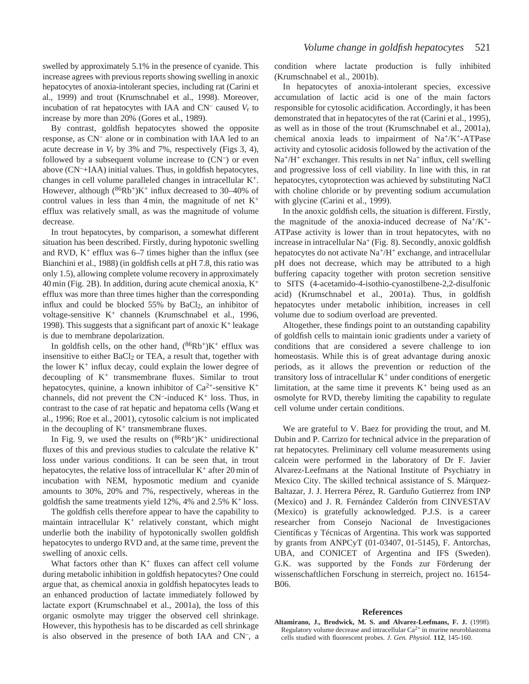swelled by approximately 5.1% in the presence of cyanide. This increase agrees with previous reports showing swelling in anoxic hepatocytes of anoxia-intolerant species, including rat (Carini et al., 1999) and trout (Krumschnabel et al., 1998). Moreover, incubation of rat hepatocytes with IAA and CN– caused *V*<sup>r</sup> to increase by more than 20% (Gores et al., 1989).

By contrast, goldfish hepatocytes showed the opposite response, as CN– alone or in combination with IAA led to an acute decrease in *V*r by 3% and 7%, respectively (Figs 3, 4), followed by a subsequent volume increase to  $(CN<sup>-</sup>)$  or even above (CN–+IAA) initial values. Thus, in goldfish hepatocytes, changes in cell volume paralleled changes in intracellular K+. However, although  $(^{86}Rb^{+})K^{+}$  influx decreased to 30–40% of control values in less than  $4 \text{ min}$ , the magnitude of net  $K^+$ efflux was relatively small, as was the magnitude of volume decrease.

In trout hepatocytes, by comparison, a somewhat different situation has been described. Firstly, during hypotonic swelling and RVD,  $K^+$  efflux was 6–7 times higher than the influx (see Bianchini et al., 1988) (in goldfish cells at pH 7.8, this ratio was only 1.5), allowing complete volume recovery in approximately  $40 \text{ min}$  (Fig. 2B). In addition, during acute chemical anoxia,  $K^+$ efflux was more than three times higher than the corresponding influx and could be blocked  $55\%$  by BaCl<sub>2</sub>, an inhibitor of voltage-sensitive K+ channels (Krumschnabel et al., 1996, 1998). This suggests that a significant part of anoxic  $K^+$  leakage is due to membrane depolarization.

In goldfish cells, on the other hand,  $(^{86}Rb^+)K^+$  efflux was insensitive to either  $BaCl<sub>2</sub>$  or TEA, a result that, together with the lower  $K^+$  influx decay, could explain the lower degree of decoupling of  $K^+$  transmembrane fluxes. Similar to trout hepatocytes, quinine, a known inhibitor of  $Ca^{2+}$ -sensitive K<sup>+</sup> channels, did not prevent the  $CN$ -induced  $K^+$  loss. Thus, in contrast to the case of rat hepatic and hepatoma cells (Wang et al., 1996; Roe et al., 2001), cytosolic calcium is not implicated in the decoupling of  $K^+$  transmembrane fluxes.

In Fig. 9, we used the results on  $(^{86}Rb^+)K^+$  unidirectional fluxes of this and previous studies to calculate the relative  $K^+$ loss under various conditions. It can be seen that, in trout hepatocytes, the relative loss of intracellular  $K^+$  after 20 min of incubation with NEM, hyposmotic medium and cyanide amounts to 30%, 20% and 7%, respectively, whereas in the goldfish the same treatments yield  $12\%$ , 4% and  $2.5\%$  K<sup>+</sup> loss.

The goldfish cells therefore appear to have the capability to maintain intracellular  $K^+$  relatively constant, which might underlie both the inability of hypotonically swollen goldfish hepatocytes to undergo RVD and, at the same time, prevent the swelling of anoxic cells.

What factors other than  $K^+$  fluxes can affect cell volume during metabolic inhibition in goldfish hepatocytes? One could argue that, as chemical anoxia in goldfish hepatocytes leads to an enhanced production of lactate immediately followed by lactate export (Krumschnabel et al., 2001a), the loss of this organic osmolyte may trigger the observed cell shrinkage. However, this hypothesis has to be discarded as cell shrinkage is also observed in the presence of both IAA and CN–, a condition where lactate production is fully inhibited (Krumschnabel et al., 2001b).

In hepatocytes of anoxia-intolerant species, excessive accumulation of lactic acid is one of the main factors responsible for cytosolic acidification. Accordingly, it has been demonstrated that in hepatocytes of the rat (Carini et al., 1995), as well as in those of the trout (Krumschnabel et al., 2001a), chemical anoxia leads to impairment of  $Na^+/K^+$ -ATPase activity and cytosolic acidosis followed by the activation of the  $Na<sup>+</sup>/H<sup>+</sup>$  exchanger. This results in net Na<sup>+</sup> influx, cell swelling and progressive loss of cell viability. In line with this, in rat hepatocytes, cytoprotection was achieved by substituting NaCl with choline chloride or by preventing sodium accumulation with glycine (Carini et al., 1999).

In the anoxic goldfish cells, the situation is different. Firstly, the magnitude of the anoxia-induced decrease of  $Na^{+}/K^{+}$ -ATPase activity is lower than in trout hepatocytes, with no increase in intracellular  $Na<sup>+</sup>$  (Fig. 8). Secondly, anoxic goldfish hepatocytes do not activate  $Na^+/H^+$  exchange, and intracellular pH does not decrease, which may be attributed to a high buffering capacity together with proton secretion sensitive to SITS (4-acetamido-4-isothio-cyanostilbene-2,2-disulfonic acid) (Krumschnabel et al., 2001a). Thus, in goldfish hepatocytes under metabolic inhibition, increases in cell volume due to sodium overload are prevented.

Altogether, these findings point to an outstanding capability of goldfish cells to maintain ionic gradients under a variety of conditions that are considered a severe challenge to ion homeostasis. While this is of great advantage during anoxic periods, as it allows the prevention or reduction of the transitory loss of intracellular  $K^+$  under conditions of energetic limitation, at the same time it prevents  $K^+$  being used as an osmolyte for RVD, thereby limiting the capability to regulate cell volume under certain conditions.

We are grateful to V. Baez for providing the trout, and M. Dubin and P. Carrizo for technical advice in the preparation of rat hepatocytes. Preliminary cell volume measurements using calcein were performed in the laboratory of Dr F. Javier Alvarez-Leefmans at the National Institute of Psychiatry in Mexico City. The skilled technical assistance of S. Márquez-Baltazar, J. J. Herrera Pérez, R. Garduño Gutierrez from INP (Mexico) and J. R. Fernández Calderón from CINVESTAV (Mexico) is gratefully acknowledged. P.J.S. is a career researcher from Consejo Nacional de Investigaciones Científicas y Técnicas of Argentina. This work was supported by grants from ANPCyT (01-03407, 01-5145), F. Antorchas, UBA, and CONICET of Argentina and IFS (Sweden). G.K. was supported by the Fonds zur Förderung der wissenschaftlichen Forschung in sterreich, project no. 16154- B06.

### **References**

**Altamirano, J., Brodwick, M. S. and Alvarez-Leefmans, F. J.** (1998). Regulatory volume decrease and intracellular  $Ca^{2+}$  in murine neuroblastoma cells studied with fluorescent probes. *J. Gen. Physiol.* **112**, 145-160.